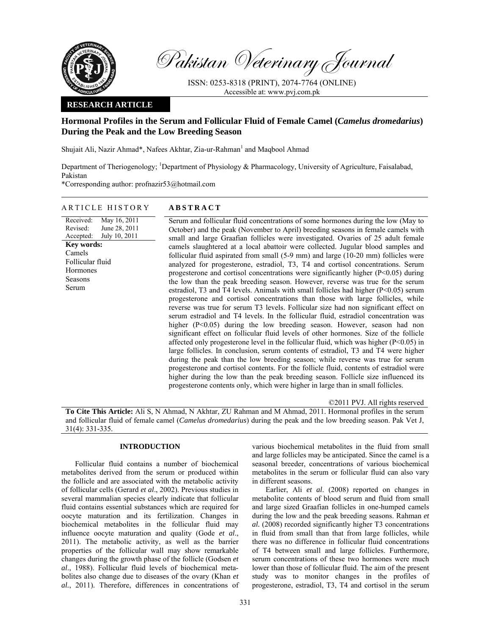

Received: Revised: Accepted:

**Key words:**  Camels Follicular fluid Hormones Seasons Serum

Pakistan Veterinary Journal

ISSN: 0253-8318 (PRINT), 2074-7764 (ONLINE) Accessible at: www.pvj.com.pk

# **RESEARCH ARTICLE**

# **Hormonal Profiles in the Serum and Follicular Fluid of Female Camel (***Camelus dromedarius***) During the Peak and the Low Breeding Season**

Shujait Ali, Nazir Ahmad\*, Nafees Akhtar, Zia-ur-Rahman<sup>1</sup> and Maqbool Ahmad

Department of Theriogenology; <sup>1</sup>Department of Physiology & Pharmacology, University of Agriculture, Faisalabad, Pakistan

\*Corresponding author: profnazir53@hotmail.com

# ARTICLE HISTORY **ABSTRACT**

May 16, 2011 June 28, 2011 July 10, 2011 Serum and follicular fluid concentrations of some hormones during the low (May to October) and the peak (November to April) breeding seasons in female camels with small and large Graafian follicles were investigated. Ovaries of 25 adult female camels slaughtered at a local abattoir were collected. Jugular blood samples and follicular fluid aspirated from small (5-9 mm) and large (10-20 mm) follicles were analyzed for progesterone, estradiol, T3, T4 and cortisol concentrations. Serum progesterone and cortisol concentrations were significantly higher (P<0.05) during the low than the peak breeding season. However, reverse was true for the serum estradiol, T3 and T4 levels. Animals with small follicles had higher (P<0.05) serum progesterone and cortisol concentrations than those with large follicles, while reverse was true for serum T3 levels. Follicular size had non significant effect on serum estradiol and T4 levels. In the follicular fluid, estradiol concentration was higher (P<0.05) during the low breeding season. However, season had non significant effect on follicular fluid levels of other hormones. Size of the follicle affected only progesterone level in the follicular fluid, which was higher  $(P<0.05)$  in large follicles. In conclusion, serum contents of estradiol, T3 and T4 were higher during the peak than the low breeding season; while reverse was true for serum progesterone and cortisol contents. For the follicle fluid, contents of estradiol were higher during the low than the peak breeding season. Follicle size influenced its progesterone contents only, which were higher in large than in small follicles.

©2011 PVJ. All rights reserved

**To Cite This Article:** Ali S, N Ahmad, N Akhtar, ZU Rahman and M Ahmad, 2011. Hormonal profiles in the serum and follicular fluid of female camel (*Camelus dromedarius*) during the peak and the low breeding season. Pak Vet J, 31(4): 331-335.

# **INTRODUCTION**

Follicular fluid contains a number of biochemical metabolites derived from the serum or produced within the follicle and are associated with the metabolic activity of follicular cells (Gerard *et al*., 2002). Previous studies in several mammalian species clearly indicate that follicular fluid contains essential substances which are required for oocyte maturation and its fertilization. Changes in biochemical metabolites in the follicular fluid may influence oocyte maturation and quality (Gode *et al*., 2011). The metabolic activity, as well as the barrier properties of the follicular wall may show remarkable changes during the growth phase of the follicle (Godsen *et al*., 1988). Follicular fluid levels of biochemical metabolites also change due to diseases of the ovary (Khan *et al.*, 2011). Therefore, differences in concentrations of various biochemical metabolites in the fluid from small and large follicles may be anticipated. Since the camel is a seasonal breeder, concentrations of various biochemical metabolites in the serum or follicular fluid can also vary in different seasons.

Earlier, Ali *et al*. (2008) reported on changes in metabolite contents of blood serum and fluid from small and large sized Graafian follicles in one-humped camels during the low and the peak breeding seasons. Rahman *et al.* (2008) recorded significantly higher T3 concentrations in fluid from small than that from large follicles, while there was no difference in follicular fluid concentrations of T4 between small and large follicles. Furthermore, serum concentrations of these two hormones were much lower than those of follicular fluid. The aim of the present study was to monitor changes in the profiles of progesterone, estradiol, T3, T4 and cortisol in the serum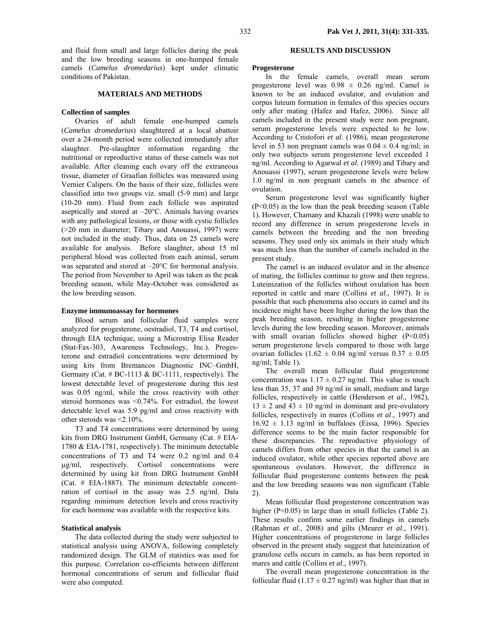and fluid from small and large follicles during the peak and the low breeding seasons in one-humped female camels (*Camelus dromedarius*) kept under climatic conditions of Pakistan.

# **MATERIALS AND METHODS**

## **Collection of samples**

Ovaries of adult female one-humped camels (*Camelus dromedarius*) slaughtered at a local abattoir over a 24-month period were collected immediately after slaughter. Pre-slaughter information regarding the nutritional or reproductive status of these camels was not available. After cleaning each ovary off the extraneous tissue, diameter of Graafian follicles was measured using Vernier Calipers. On the basis of their size, follicles were classified into two groups viz. small (5-9 mm) and large (10-20 mm). Fluid from each follicle was aspirated aseptically and stored at –20°C. Animals having ovaries with any pathological lesions, or those with cystic follicles (>20 mm in diameter; Tibary and Anouassi, 1997) were not included in the study. Thus, data on 25 camels were available for analysis. Before slaughter, about 15 ml peripheral blood was collected from each animal, serum was separated and stored at  $-20^{\circ}$ C for hormonal analysis. The period from November to April was taken as the peak breeding season, while May-October was considered as the low breeding season.

#### **Enzyme immunoassay for hormones**

Blood serum and follicular fluid samples were analyzed for progesterone, oestradiol, T3, T4 and cortisol, through EIA technique, using a Microstrip Elisa Reader (Stat-Fax-303, Awareness Technology, Inc.). Progesterone and estradiol concentrations were determined by using kits from Bremancos Diagnostic INC–GmbH, Germany (Cat.  $# BC-1113 \& BC-1111$ , respectively). The lowest detectable level of progesterone during this test was 0.05 ng/ml, while the cross reactivity with other steroid hormones was <0.74%. For estradiol, the lowest detectable level was 5.9 pg/ml and cross reactivity with other steroids was <2.10%.

T3 and T4 concentrations were determined by using kits from DRG Instrument GmbH, Germany (Cat. # EIA-1780 & EIA-1781, respectively). The minimum detectable concentrations of T3 and T4 were 0.2 ng/ml and 0.4 µg/ml, respectively. Cortisol concentrations were determined by using kit from DRG Instrument GmbH (Cat. # EIA-1887). The minimum detectable concentration of cortisol in the assay was 2.5 ng/ml. Data regarding minimum detection levels and cross reactivity for each hormone was available with the respective kits.

### **Statistical analysis**

The data collected during the study were subjected to statistical analysis using ANOVA, following completely randomized design. The GLM of statistics was used for this purpose. Correlation co-efficients between different hormonal concentrations of serum and follicular fluid were also computed.

# **RESULTS AND DISCUSSION**

#### **Progesterone**

In the female camels, overall mean serum progesterone level was  $0.98 \pm 0.26$  ng/ml. Camel is known to be an induced ovulator, and ovulation and corpus luteum formation in females of this species occurs only after mating (Hafez and Hafez, 2006). Since all camels included in the present study were non pregnant, serum progesterone levels were expected to be low. According to Cristofori *et al*. (1986), mean progesterone level in 53 non pregnant camels was  $0.04 \pm 0.4$  ng/ml; in only two subjects serum progesterone level exceeded 1 ng/ml. According to Agarwal *et al*. (1989) and Tibary and Anouassi (1997), serum progesterone levels were below 1.0 ng/ml in non pregnant camels in the absence of ovulation.

Serum progesterone level was significantly higher (P<0.05) in the low than the peak breeding season (Table 1). However, Chamany and Khazali (1998) were unable to record any difference in serum progesterone levels in camels between the breeding and the non breeding seasons. They used only six animals in their study which was much less than the number of camels included in the present study.

The camel is an induced ovulator and in the absence of mating, the follicles continue to grow and then regress. Luteinization of the follicles without ovulation has been reported in cattle and mare (Collins *et al*., 1997). It is possible that such phenomena also occurs in camel and its incidence might have been higher during the low than the peak breeding season, resulting in higher progesterone levels during the low breeding season. Moreover, animals with small ovarian follicles showed higher  $(P<0.05)$ serum progesterone levels compared to those with large ovarian follicles (1.62  $\pm$  0.04 ng/ml versus 0.37  $\pm$  0.05 ng/ml; Table 1).

The overall mean follicular fluid progesterone concentration was  $1.17 \pm 0.27$  ng/ml. This value is much less than 35, 37 and 39 ng/ml in small, medium and large follicles, respectively in cattle (Henderson *et al*., 1982),  $13 \pm 2$  and  $43 \pm 10$  ng/ml in dominant and pre-ovulatory follicles, respectively in mares (Collins *et al*., 1997) and  $16.92 \pm 1.13$  ng/ml in buffaloes (Eissa, 1996). Species difference seems to be the main factor responsible for these discrepancies. The reproductive physiology of camels differs from other species in that the camel is an induced ovulator, while other species reported above are spontaneous ovulators. However, the difference in follicular fluid progesterone contents between the peak and the low breeding seasons was non significant (Table 2).

Mean follicular fluid progesterone concentration was higher (P<0.05) in large than in small follicles (Table 2). These results confirm some earlier findings in camels (Rahman *et al*., 2008) and gilts (Meurer *et al*., 1991). Higher concentrations of progesterone in large follicles observed in the present study suggest that luteinization of granulose cells occurs in camels, as has been reported in mares and cattle (Collins *et al*., 1997).

The overall mean progesterone concentration in the follicular fluid (1.17  $\pm$  0.27 ng/ml) was higher than that in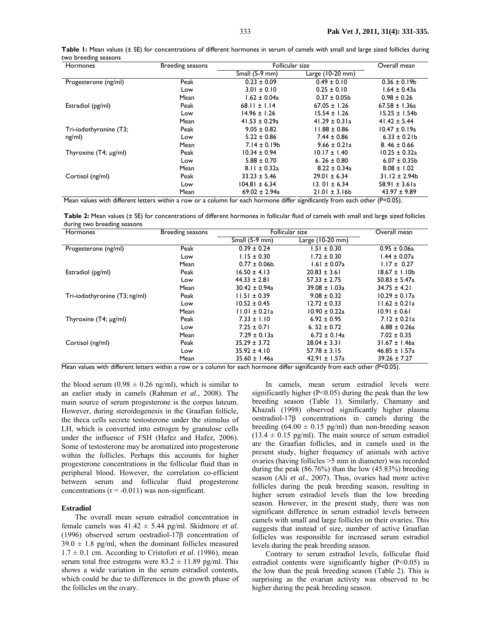| Hormones                   | <b>Breeding seasons</b> | Follicular size   |                   | Overall mean      |
|----------------------------|-------------------------|-------------------|-------------------|-------------------|
|                            |                         | Small $(5-9$ mm)  | Large (10-20 mm)  |                   |
| Progesterone (ng/ml)       | Peak                    | $0.23 \pm 0.09$   | $0.49 \pm 0.10$   | $0.36 \pm 0.19b$  |
|                            | Low                     | $3.01 \pm 0.10$   | $0.25 \pm 0.10$   | $1.64 \pm 0.43a$  |
|                            | Mean                    | $1.62 \pm 0.04a$  | $0.37 \pm 0.05$   | $0.98 \pm 0.26$   |
| Estradiol (pg/ml)          | Peak                    | $68.11 \pm 1.14$  | $67.05 \pm 1.26$  | $67.58 \pm 1.36a$ |
|                            | Low                     | $14.96 \pm 1.26$  | $15.54 \pm 1.26$  | $15.25 \pm 1.54b$ |
|                            | Mean                    | $41.53 \pm 0.29a$ | $41.29 \pm 0.31a$ | $41.42 \pm 5.44$  |
| Tri-iodothyronine (T3;     | Peak                    | $9.05 \pm 0.82$   | $11.88 \pm 0.86$  | $10.47 \pm 0.19a$ |
| ng/ml)                     | Low                     | $5.22 \pm 0.86$   | $7.44 \pm 0.86$   | $6.33 \pm 0.21$   |
|                            | Mean                    | $7.14 \pm 0.19b$  | $9.66 \pm 0.21a$  | $8.46 \pm 0.66$   |
| Thyroxine $(T4; \mu g/ml)$ | Peak                    | $10.34 \pm 0.94$  | $10.17 \pm 1.40$  | $10.25 \pm 0.32a$ |
|                            | Low                     | $5.88 \pm 0.70$   | 6.26 $\pm$ 0.80   | $6.07 \pm 0.35$ b |
|                            | Mean                    | $8.11 \pm 0.32a$  | $8.22 \pm 0.34a$  | $8.08 \pm 1.02$   |
| Cortisol (ng/ml)           | Peak                    | $33.23 \pm 5.46$  | $29.01 \pm 6.34$  | $31.12 \pm 2.94b$ |
|                            | Low                     | $104.81 \pm 6.34$ | $13.01 \pm 6.34$  | 58.91 $\pm$ 3.61a |
|                            | Mean                    | $69.02 \pm 2.94a$ | $21.01 \pm 3.16b$ | $43.97 \pm 9.89$  |

Table 1: Mean values (± SE) for concentrations of different hormones in serum of camels with small and large sized follicles during two breeding seasons

Mean values with different letters within a row or a column for each hormone differ significantly from each other (P<0.05).

**Table 2:** Mean values (± SE) for concentrations of different hormones in follicular fluid of camels with small and large sized follicles during two breeding seasons

| Hormones                                                                                                                  | <b>Breeding</b> seasons | Follicular size   |                       | Overall mean       |
|---------------------------------------------------------------------------------------------------------------------------|-------------------------|-------------------|-----------------------|--------------------|
|                                                                                                                           |                         | $Small (5-9 mm)$  | Large $(10-20$ mm $)$ |                    |
| Progesterone (ng/ml)                                                                                                      | Peak                    | $0.39 \pm 0.24$   | $1.51 \pm 0.30$       | $0.95 \pm 0.06a$   |
|                                                                                                                           | Low                     | $1.15 \pm 0.30$   | $1.72 \pm 0.30$       | $1.44 \pm 0.07a$   |
|                                                                                                                           | Mean                    | $0.77 \pm 0.06$ b | $1.61 \pm 0.07a$      | $1.17 \pm 0.27$    |
| Estradiol (pg/ml)                                                                                                         | Peak                    | $16.50 \pm 4.13$  | $20.83 \pm 3.61$      | $18.67 \pm 1.10b$  |
|                                                                                                                           | Low                     | $44.33 \pm 2.81$  | $57.33 \pm 2.75$      | $50.83 \pm 5.47a$  |
|                                                                                                                           | Mean                    | $30.42 \pm 0.94a$ | $39.08 \pm 1.03a$     | $34.75 \pm 4.21$   |
| Tri-iodothyronine (T3; ng/ml)                                                                                             | Peak                    | $11.51 \pm 0.39$  | $9.08 \pm 0.32$       | $10.29 \pm 0.17$ a |
|                                                                                                                           | Low                     | $10.52 \pm 0.45$  | $12.72 \pm 0.33$      | $11.62 \pm 0.21a$  |
|                                                                                                                           | Mean                    | $11.01 \pm 0.21a$ | $10.90 \pm 0.22a$     | $10.91 \pm 0.61$   |
| Thyroxine $(T4; \mu g/ml)$                                                                                                | Peak                    | $7.33 \pm 1.10$   | $6.92 \pm 0.95$       | $7.12 \pm 0.21a$   |
|                                                                                                                           | Low                     | $7.25 \pm 0.71$   | 6.52 $\pm$ 0.72       | $6.88 \pm 0.26a$   |
|                                                                                                                           | Mean                    | $7.29 \pm 0.13a$  | $6.72 \pm 0.14a$      | $7.02 \pm 0.35$    |
| Cortisol (ng/ml)                                                                                                          | Peak                    | $35.29 \pm 3.72$  | $28.04 \pm 3.31$      | $31.67 \pm 1.46a$  |
|                                                                                                                           | Low                     | $35.92 \pm 4.10$  | $57.78 \pm 3.15$      | $46.85 \pm 1.57a$  |
| Maan values with different letters within a now and column for each hormone differ significantly from each other (BC) 05) | Mean                    | $35.60 \pm 1.46a$ | 42.91 $\pm$ 1.57a     | $39.26 \pm 7.27$   |

Mean values with different letters within a row or a column for each hormone differ significantly from each other (P<0.05).

the blood serum (0.98  $\pm$  0.26 ng/ml), which is similar to an earlier study in camels (Rahman *et al*., 2008). The main source of serum progesterone is the corpus luteum. However, during steroidogenesis in the Graafian follicle, the theca cells secrete testosterone under the stimulus of LH, which is converted into estrogen by granulose cells under the influence of FSH (Hafez and Hafez, 2006). Some of testosterone may be aromatized into progesterone within the follicles. Perhaps this accounts for higher progesterone concentrations in the follicular fluid than in peripheral blood. However, the correlation co-efficient between serum and follicular fluid progesterone concentrations  $(r = -0.011)$  was non-significant.

#### **Estradiol**

The overall mean serum estradiol concentration in female camels was 41.42 ± 5.44 pg/ml. Skidmore *et al*. (1996) observed serum oestradiol-17β concentration of  $39.0 \pm 1.8$  pg/ml, when the dominant follicles measured  $1.7 \pm 0.1$  cm. According to Cristofori *et al.* (1986), mean serum total free estrogens were  $83.2 \pm 11.89$  pg/ml. This shows a wide variation in the serum estradiol contents, which could be due to differences in the growth phase of the follicles on the ovary.

In camels, mean serum estradiol levels were significantly higher  $(P<0.05)$  during the peak than the low breeding season (Table 1). Similarly, Chamany and Khazali (1998) observed significantly higher plasma oestradiol-17β concentrations in camels during the breeding  $(64.00 \pm 0.15 \text{ pg/ml})$  than non-breeding season  $(13.4 \pm 0.15 \text{ pg/ml})$ . The main source of serum estradiol are the Graafian follicles, and in camels used in the present study, higher frequency of animals with active ovaries (having follicles >5 mm in diameter) was recorded during the peak (86.76%) than the low (45.83%) breeding season (Ali *et al.*, 2007). Thus, ovaries had more active follicles during the peak breeding season, resulting in higher serum estradiol levels than the low breeding season. However, in the present study, there was non significant difference in serum estradiol levels between camels with small and large follicles on their ovaries. This suggests that instead of size, number of active Graafian follicles was responsible for increased serum estradiol levels during the peak breeding season.

Contrary to serum estradiol levels, follicular fluid estradiol contents were significantly higher (P<0.05) in the low than the peak breeding season (Table 2). This is surprising as the ovarian activity was observed to be higher during the peak breeding season.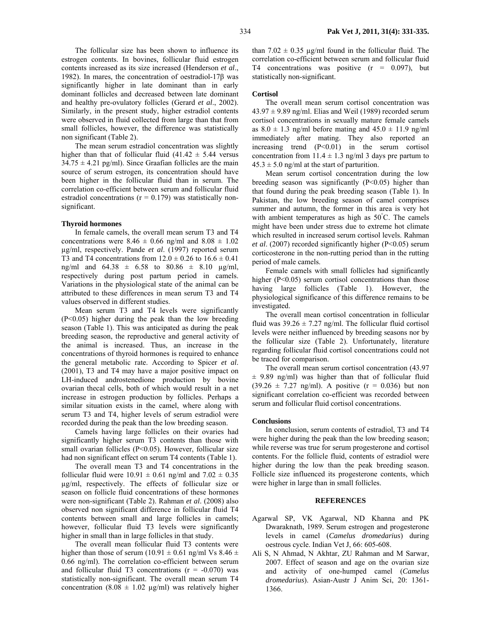The follicular size has been shown to influence its estrogen contents. In bovines, follicular fluid estrogen contents increased as its size increased (Henderson *et al*., 1982). In mares, the concentration of oestradiol-17β was significantly higher in late dominant than in early dominant follicles and decreased between late dominant and healthy pre-ovulatory follicles (Gerard *et al*., 2002). Similarly, in the present study, higher estradiol contents were observed in fluid collected from large than that from small follicles, however, the difference was statistically non significant (Table 2).

The mean serum estradiol concentration was slightly higher than that of follicular fluid  $(41.42 \pm 5.44$  versus  $34.75 \pm 4.21$  pg/ml). Since Graafian follicles are the main source of serum estrogen, its concentration should have been higher in the follicular fluid than in serum. The correlation co-efficient between serum and follicular fluid estradiol concentrations ( $r = 0.179$ ) was statistically nonsignificant.

## **Thyroid hormones**

In female camels, the overall mean serum T3 and T4 concentrations were  $8.46 \pm 0.66$  ng/ml and  $8.08 \pm 1.02$ µg/ml, respectively. Pande *et al*. (1997) reported serum T3 and T4 concentrations from  $12.0 \pm 0.26$  to  $16.6 \pm 0.41$ ng/ml and  $64.38 \pm 6.58$  to  $80.86 \pm 8.10$  µg/ml, respectively during post partum period in camels. Variations in the physiological state of the animal can be attributed to these differences in mean serum T3 and T4 values observed in different studies.

Mean serum T3 and T4 levels were significantly (P<0.05) higher during the peak than the low breeding season (Table 1). This was anticipated as during the peak breeding season, the reproductive and general activity of the animal is increased. Thus, an increase in the concentrations of thyroid hormones is required to enhance the general metabolic rate. According to Spicer *et al*. (2001), T3 and T4 may have a major positive impact on LH-induced androstenedione production by bovine ovarian thecal cells, both of which would result in a net increase in estrogen production by follicles. Perhaps a similar situation exists in the camel, where along with serum T3 and T4, higher levels of serum estradiol were recorded during the peak than the low breeding season.

Camels having large follicles on their ovaries had significantly higher serum T3 contents than those with small ovarian follicles (P<0.05). However, follicular size had non significant effect on serum T4 contents (Table 1).

The overall mean T3 and T4 concentrations in the follicular fluid were  $10.91 \pm 0.61$  ng/ml and  $7.02 \pm 0.35$ µg/ml, respectively. The effects of follicular size or season on follicle fluid concentrations of these hormones were non-significant (Table 2). Rahman *et al*. (2008) also observed non significant difference in follicular fluid T4 contents between small and large follicles in camels; however, follicular fluid T3 levels were significantly higher in small than in large follicles in that study.

The overall mean follicular fluid T3 contents were higher than those of serum (10.91  $\pm$  0.61 ng/ml Vs 8.46  $\pm$ 0.66 ng/ml). The correlation co-efficient between serum and follicular fluid T3 concentrations  $(r = -0.070)$  was statistically non-significant. The overall mean serum T4 concentration (8.08  $\pm$  1.02 µg/ml) was relatively higher

than  $7.02 \pm 0.35$  ug/ml found in the follicular fluid. The correlation co-efficient between serum and follicular fluid T4 concentrations was positive (r = 0.097), but statistically non-significant.

## **Cortisol**

The overall mean serum cortisol concentration was  $43.97 \pm 9.89$  ng/ml. Elias and Weil (1989) recorded serum cortisol concentrations in sexually mature female camels as  $8.0 \pm 1.3$  ng/ml before mating and  $45.0 \pm 11.9$  ng/ml immediately after mating. They also reported an increasing trend (P<0.01) in the serum cortisol concentration from  $11.4 \pm 1.3$  ng/ml 3 days pre partum to  $45.3 \pm 5.0$  ng/ml at the start of parturition.

Mean serum cortisol concentration during the low breeding season was significantly  $(P<0.05)$  higher than that found during the peak breeding season (Table 1). In Pakistan, the low breeding season of camel comprises summer and autumn, the former in this area is very hot with ambient temperatures as high as 50° C. The camels might have been under stress due to extreme hot climate which resulted in increased serum cortisol levels. Rahman *et al.* (2007) recorded significantly higher (P<0.05) serum corticosterone in the non-rutting period than in the rutting period of male camels.

Female camels with small follicles had significantly higher (P<0.05) serum cortisol concentrations than those having large follicles (Table 1). However, the physiological significance of this difference remains to be investigated.

The overall mean cortisol concentration in follicular fluid was  $39.26 \pm 7.27$  ng/ml. The follicular fluid cortisol levels were neither influenced by breeding seasons nor by the follicular size (Table 2). Unfortunately, literature regarding follicular fluid cortisol concentrations could not be traced for comparison.

The overall mean serum cortisol concentration (43.97  $\pm$  9.89 ng/ml) was higher than that of follicular fluid  $(39.26 \pm 7.27 \text{ ng/ml})$ . A positive  $(r = 0.036)$  but non significant correlation co-efficient was recorded between serum and follicular fluid cortisol concentrations.

### **Conclusions**

In conclusion, serum contents of estradiol, T3 and T4 were higher during the peak than the low breeding season; while reverse was true for serum progesterone and cortisol contents. For the follicle fluid, contents of estradiol were higher during the low than the peak breeding season. Follicle size influenced its progesterone contents, which were higher in large than in small follicles.

### **REFERENCES**

- Agarwal SP, VK Agarwal, ND Khanna and PK Dwaraknath, 1989. Serum estrogen and progesterone levels in camel (*Camelus dromedarius*) during oestrous cycle. Indian Vet J, 66: 605-608.
- Ali S, N Ahmad, N Akhtar, ZU Rahman and M Sarwar, 2007. Effect of season and age on the ovarian size and activity of one-humped camel (*Camelus dromedarius*). Asian-Austr J Anim Sci, 20: 1361- 1366.